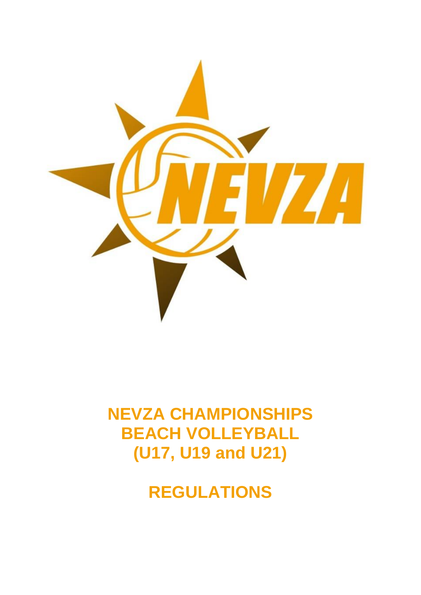

# **NEVZA CHAMPIONSHIPS BEACH VOLLEYBALL (U17, U19 and U21)**

**REGULATIONS**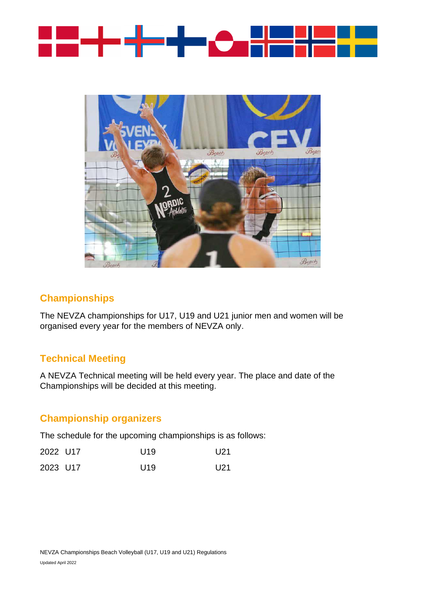



#### **Championships**

The NEVZA championships for U17, U19 and U21 junior men and women will be organised every year for the members of NEVZA only.

## **Technical Meeting**

A NEVZA Technical meeting will be held every year. The place and date of the Championships will be decided at this meeting.

## **Championship organizers**

The schedule for the upcoming championships is as follows:

| 2022 U17 | U <sub>19</sub> | U21 |
|----------|-----------------|-----|
| 2023 U17 | U <sub>19</sub> | U21 |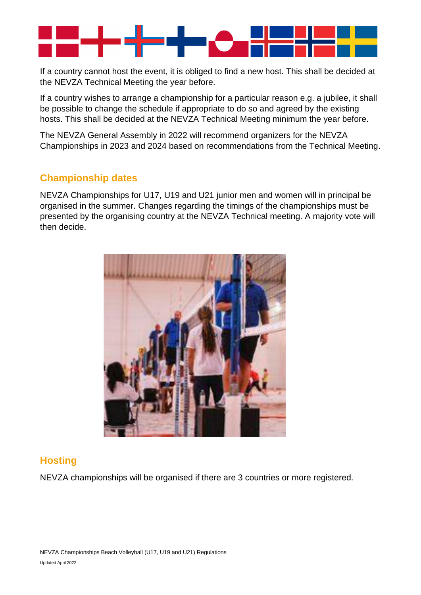

If a country cannot host the event, it is obliged to find a new host. This shall be decided at the NEVZA Technical Meeting the year before.

If a country wishes to arrange a championship for a particular reason e.g. a jubilee, it shall be possible to change the schedule if appropriate to do so and agreed by the existing hosts. This shall be decided at the NEVZA Technical Meeting minimum the year before.

The NEVZA General Assembly in 2022 will recommend organizers for the NEVZA Championships in 2023 and 2024 based on recommendations from the Technical Meeting.

#### **Championship dates**

NEVZA Championships for U17, U19 and U21 junior men and women will in principal be organised in the summer. Changes regarding the timings of the championships must be presented by the organising country at the NEVZA Technical meeting. A majority vote will then decide.



## **Hosting**

NEVZA championships will be organised if there are 3 countries or more registered.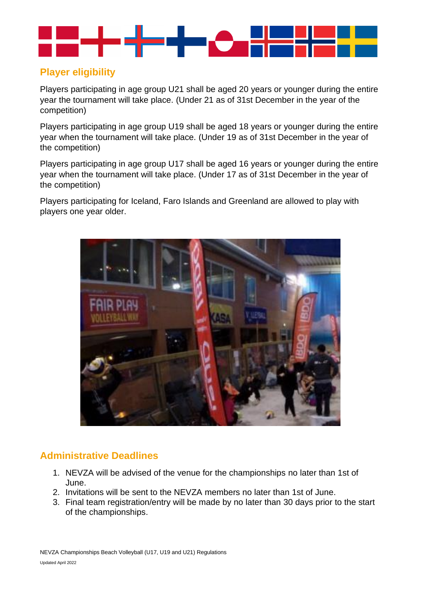

# **Player eligibility**

Players participating in age group U21 shall be aged 20 years or younger during the entire year the tournament will take place. (Under 21 as of 31st December in the year of the competition)

Players participating in age group U19 shall be aged 18 years or younger during the entire year when the tournament will take place. (Under 19 as of 31st December in the year of the competition)

Players participating in age group U17 shall be aged 16 years or younger during the entire year when the tournament will take place. (Under 17 as of 31st December in the year of the competition)

Players participating for Iceland, Faro Islands and Greenland are allowed to play with players one year older.



# **Administrative Deadlines**

- 1. NEVZA will be advised of the venue for the championships no later than 1st of June.
- 2. Invitations will be sent to the NEVZA members no later than 1st of June.
- 3. Final team registration/entry will be made by no later than 30 days prior to the start of the championships.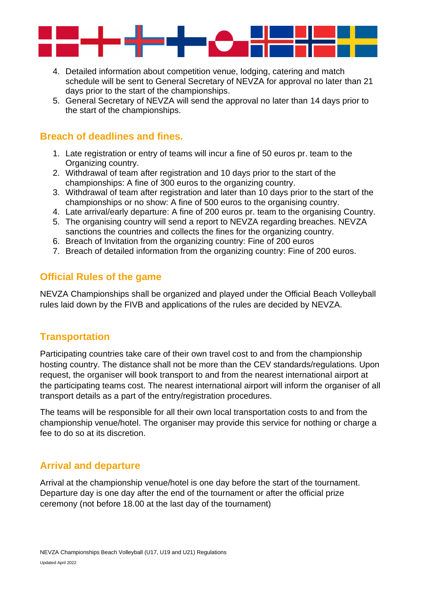

- 4. Detailed information about competition venue, lodging, catering and match schedule will be sent to General Secretary of NEVZA for approval no later than 21 days prior to the start of the championships.
- 5. General Secretary of NEVZA will send the approval no later than 14 days prior to the start of the championships.

## **Breach of deadlines and fines.**

- 1. Late registration or entry of teams will incur a fine of 50 euros pr. team to the Organizing country.
- 2. Withdrawal of team after registration and 10 days prior to the start of the championships: A fine of 300 euros to the organizing country.
- 3. Withdrawal of team after registration and later than 10 days prior to the start of the championships or no show: A fine of 500 euros to the organising country.
- 4. Late arrival/early departure: A fine of 200 euros pr. team to the organising Country.
- 5. The organising country will send a report to NEVZA regarding breaches. NEVZA sanctions the countries and collects the fines for the organizing country.
- 6. Breach of Invitation from the organizing country: Fine of 200 euros
- 7. Breach of detailed information from the organizing country: Fine of 200 euros.

## **Official Rules of the game**

NEVZA Championships shall be organized and played under the Official Beach Volleyball rules laid down by the FIVB and applications of the rules are decided by NEVZA.

#### **Transportation**

Participating countries take care of their own travel cost to and from the championship hosting country. The distance shall not be more than the CEV standards/regulations. Upon request, the organiser will book transport to and from the nearest international airport at the participating teams cost. The nearest international airport will inform the organiser of all transport details as a part of the entry/registration procedures.

The teams will be responsible for all their own local transportation costs to and from the championship venue/hotel. The organiser may provide this service for nothing or charge a fee to do so at its discretion.

## **Arrival and departure**

Arrival at the championship venue/hotel is one day before the start of the tournament. Departure day is one day after the end of the tournament or after the official prize ceremony (not before 18.00 at the last day of the tournament)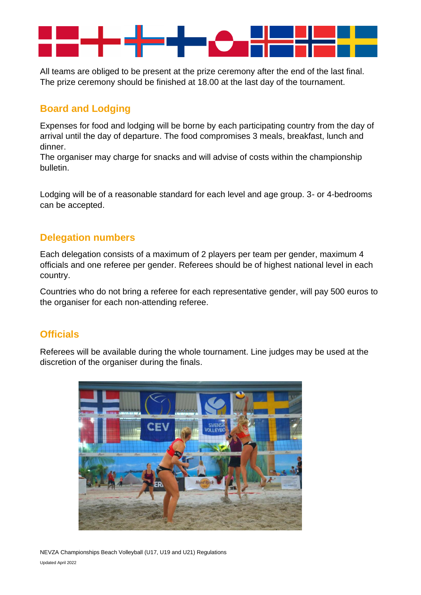

All teams are obliged to be present at the prize ceremony after the end of the last final. The prize ceremony should be finished at 18.00 at the last day of the tournament.

# **Board and Lodging**

Expenses for food and lodging will be borne by each participating country from the day of arrival until the day of departure. The food compromises 3 meals, breakfast, lunch and dinner.

The organiser may charge for snacks and will advise of costs within the championship bulletin.

Lodging will be of a reasonable standard for each level and age group. 3- or 4-bedrooms can be accepted.

## **Delegation numbers**

Each delegation consists of a maximum of 2 players per team per gender, maximum 4 officials and one referee per gender. Referees should be of highest national level in each country.

Countries who do not bring a referee for each representative gender, will pay 500 euros to the organiser for each non-attending referee.

## **Officials**

Referees will be available during the whole tournament. Line judges may be used at the discretion of the organiser during the finals.



NEVZA Championships Beach Volleyball (U17, U19 and U21) Regulations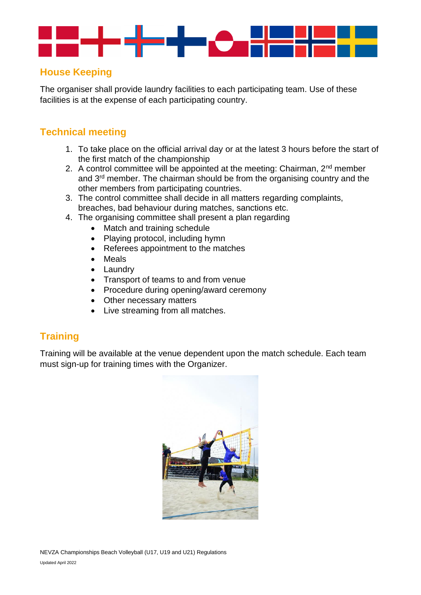

## **House Keeping**

The organiser shall provide laundry facilities to each participating team. Use of these facilities is at the expense of each participating country.

## **Technical meeting**

- 1. To take place on the official arrival day or at the latest 3 hours before the start of the first match of the championship
- 2. A control committee will be appointed at the meeting: Chairman,  $2^{nd}$  member and 3rd member. The chairman should be from the organising country and the other members from participating countries.
- 3. The control committee shall decide in all matters regarding complaints, breaches, bad behaviour during matches, sanctions etc.
- 4. The organising committee shall present a plan regarding
	- Match and training schedule
	- Playing protocol, including hymn
	- Referees appointment to the matches
	- Meals
	- Laundry
	- Transport of teams to and from venue
	- Procedure during opening/award ceremony
	- Other necessary matters
	- Live streaming from all matches.

## **Training**

Training will be available at the venue dependent upon the match schedule. Each team must sign-up for training times with the Organizer.

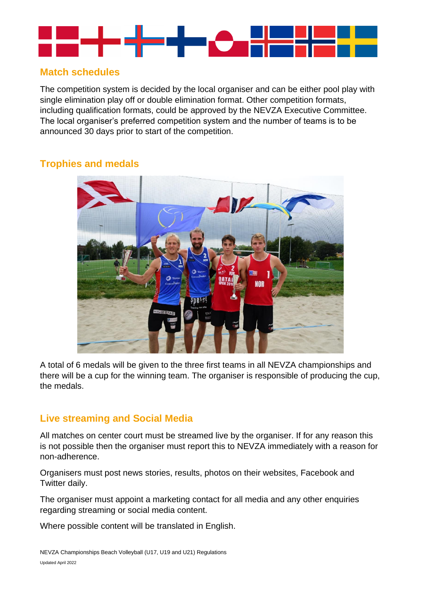

## **Match schedules**

The competition system is decided by the local organiser and can be either pool play with single elimination play off or double elimination format. Other competition formats, including qualification formats, could be approved by the NEVZA Executive Committee. The local organiser's preferred competition system and the number of teams is to be announced 30 days prior to start of the competition.

## **Trophies and medals**



A total of 6 medals will be given to the three first teams in all NEVZA championships and there will be a cup for the winning team. The organiser is responsible of producing the cup, the medals.

## **Live streaming and Social Media**

All matches on center court must be streamed live by the organiser. If for any reason this is not possible then the organiser must report this to NEVZA immediately with a reason for non-adherence.

Organisers must post news stories, results, photos on their websites, Facebook and Twitter daily.

The organiser must appoint a marketing contact for all media and any other enquiries regarding streaming or social media content.

Where possible content will be translated in English.